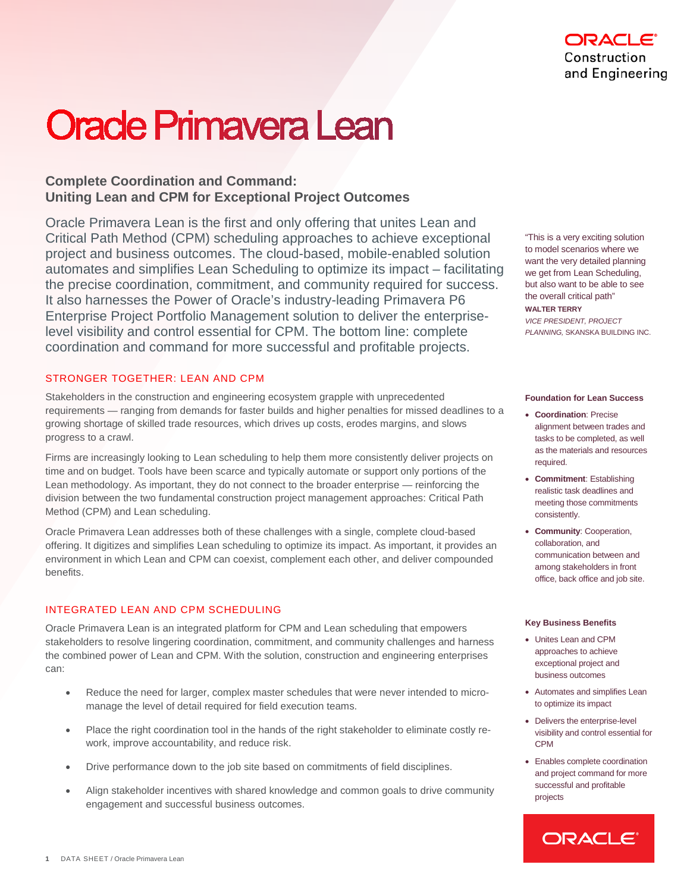# **Oracle Primavera Lean**

## **Complete Coordination and Command: Uniting Lean and CPM for Exceptional Project Outcomes**

Oracle Primavera Lean is the first and only offering that unites Lean and Critical Path Method (CPM) scheduling approaches to achieve exceptional project and business outcomes. The cloud-based, mobile-enabled solution automates and simplifies Lean Scheduling to optimize its impact – facilitating the precise coordination, commitment, and community required for success. It also harnesses the Power of Oracle's industry-leading Primavera P6 Enterprise Project Portfolio Management solution to deliver the enterpriselevel visibility and control essential for CPM. The bottom line: complete coordination and command for more successful and profitable projects.

## STRONGER TOGETHER: LEAN AND CPM

Stakeholders in the construction and engineering ecosystem grapple with unprecedented requirements — ranging from demands for faster builds and higher penalties for missed deadlines to a growing shortage of skilled trade resources, which drives up costs, erodes margins, and slows progress to a crawl.

Firms are increasingly looking to Lean scheduling to help them more consistently deliver projects on time and on budget. Tools have been scarce and typically automate or support only portions of the Lean methodology. As important, they do not connect to the broader enterprise — reinforcing the division between the two fundamental construction project management approaches: Critical Path Method (CPM) and Lean scheduling.

Oracle Primavera Lean addresses both of these challenges with a single, complete cloud-based offering. It digitizes and simplifies Lean scheduling to optimize its impact. As important, it provides an environment in which Lean and CPM can coexist, complement each other, and deliver compounded benefits.

## INTEGRATED LEAN AND CPM SCHEDULING

Oracle Primavera Lean is an integrated platform for CPM and Lean scheduling that empowers stakeholders to resolve lingering coordination, commitment, and community challenges and harness the combined power of Lean and CPM. With the solution, construction and engineering enterprises can:

- Reduce the need for larger, complex master schedules that were never intended to micromanage the level of detail required for field execution teams.
- Place the right coordination tool in the hands of the right stakeholder to eliminate costly rework, improve accountability, and reduce risk.
- Drive performance down to the job site based on commitments of field disciplines.
- Align stakeholder incentives with shared knowledge and common goals to drive community engagement and successful business outcomes.

"This is a very exciting solution to model scenarios where we want the very detailed planning we get from Lean Scheduling, but also want to be able to see the overall critical path" **WALTER TERRY** *VICE PRESIDENT, PROJECT PLANNING,* SKANSKA BUILDING INC.

#### **Foundation for Lean Success**

- **Coordination**: Precise alignment between trades and tasks to be completed, as well as the materials and resources required.
- **Commitment**: Establishing realistic task deadlines and meeting those commitments consistently.
- **Community**: Cooperation, collaboration, and communication between and among stakeholders in front office, back office and job site.

#### **Key Business Benefits**

- Unites Lean and CPM approaches to achieve exceptional project and business outcomes
- Automates and simplifies Lean to optimize its impact
- Delivers the enterprise-level visibility and control essential for CPM
- Enables complete coordination and project command for more successful and profitable projects

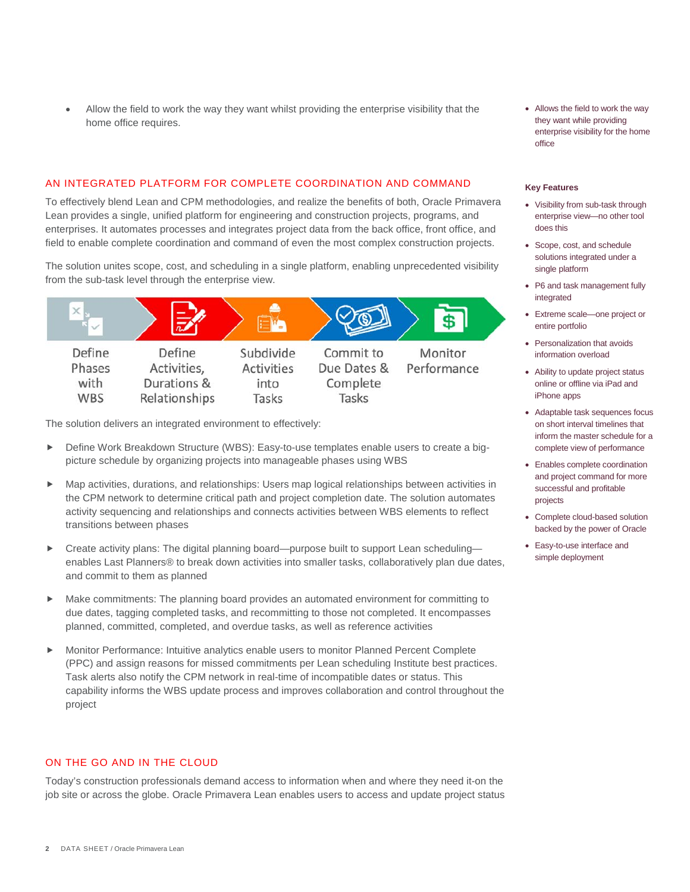• Allow the field to work the way they want whilst providing the enterprise visibility that the home office requires.

#### AN INTEGRATED PLATFORM FOR COMPLETE COORDINATION AND COMMAND

To effectively blend Lean and CPM methodologies, and realize the benefits of both, Oracle Primavera Lean provides a single, unified platform for engineering and construction projects, programs, and enterprises. It automates processes and integrates project data from the back office, front office, and field to enable complete coordination and command of even the most complex construction projects.

The solution unites scope, cost, and scheduling in a single platform, enabling unprecedented visibility from the sub-task level through the enterprise view.



The solution delivers an integrated environment to effectively:

- Define Work Breakdown Structure (WBS): Easy-to-use templates enable users to create a bigpicture schedule by organizing projects into manageable phases using WBS
- Map activities, durations, and relationships: Users map logical relationships between activities in the CPM network to determine critical path and project completion date. The solution automates activity sequencing and relationships and connects activities between WBS elements to reflect transitions between phases
- ► Create activity plans: The digital planning board—purpose built to support Lean scheduling enables Last Planners® to break down activities into smaller tasks, collaboratively plan due dates, and commit to them as planned
- Make commitments: The planning board provides an automated environment for committing to due dates, tagging completed tasks, and recommitting to those not completed. It encompasses planned, committed, completed, and overdue tasks, as well as reference activities
- Monitor Performance: Intuitive analytics enable users to monitor Planned Percent Complete (PPC) and assign reasons for missed commitments per Lean scheduling Institute best practices. Task alerts also notify the CPM network in real-time of incompatible dates or status. This capability informs the WBS update process and improves collaboration and control throughout the project

## ON THE GO AND IN THE CLOUD

Today's construction professionals demand access to information when and where they need it-on the job site or across the globe. Oracle Primavera Lean enables users to access and update project status • Allows the field to work the way they want while providing enterprise visibility for the home office

#### **Key Features**

- Visibility from sub-task through enterprise view—no other tool does this
- Scope, cost, and schedule solutions integrated under a single platform
- P6 and task management fully integrated
- Extreme scale—one project or entire portfolio
- Personalization that avoids information overload
- Ability to update project status online or offline via iPad and iPhone apps
- Adaptable task sequences focus on short interval timelines that inform the master schedule for a complete view of performance
- Enables complete coordination and project command for more successful and profitable projects
- Complete cloud-based solution backed by the power of Oracle
- Easy-to-use interface and simple deployment